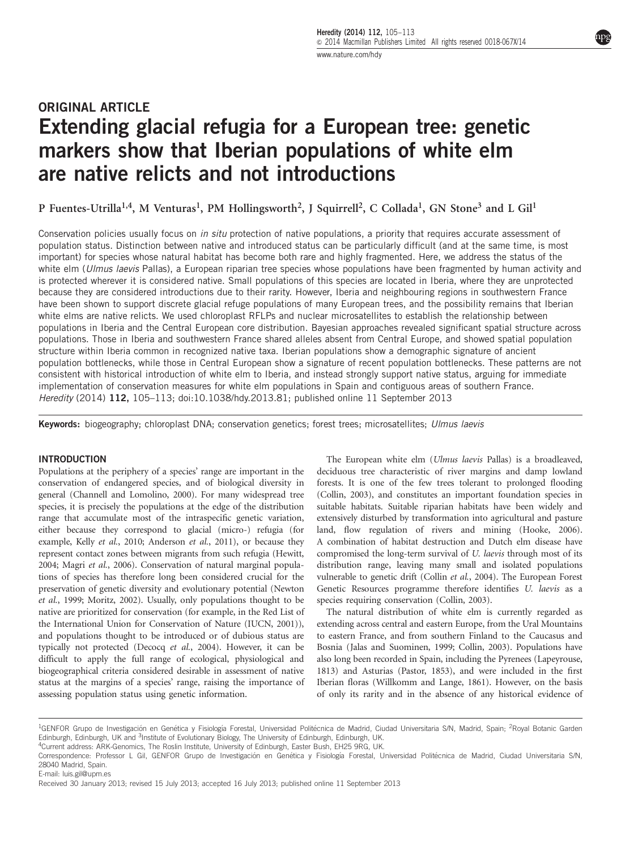# ORIGINAL ARTICLE Extending glacial refugia for a European tree: genetic markers show that Iberian populations of white elm are native relicts and not introductions

P Fuentes-Utrilla<sup>1,4</sup>, M Venturas<sup>1</sup>, PM Hollingsworth<sup>2</sup>, J Squirrell<sup>2</sup>, C Collada<sup>1</sup>, GN Stone<sup>3</sup> and L Gil<sup>1</sup>

Conservation policies usually focus on in situ protection of native populations, a priority that requires accurate assessment of population status. Distinction between native and introduced status can be particularly difficult (and at the same time, is most important) for species whose natural habitat has become both rare and highly fragmented. Here, we address the status of the white elm (*Ulmus laevis* Pallas), a European riparian tree species whose populations have been fragmented by human activity and is protected wherever it is considered native. Small populations of this species are located in Iberia, where they are unprotected because they are considered introductions due to their rarity. However, Iberia and neighbouring regions in southwestern France have been shown to support discrete glacial refuge populations of many European trees, and the possibility remains that Iberian white elms are native relicts. We used chloroplast RFLPs and nuclear microsatellites to establish the relationship between populations in Iberia and the Central European core distribution. Bayesian approaches revealed significant spatial structure across populations. Those in Iberia and southwestern France shared alleles absent from Central Europe, and showed spatial population structure within Iberia common in recognized native taxa. Iberian populations show a demographic signature of ancient population bottlenecks, while those in Central European show a signature of recent population bottlenecks. These patterns are not consistent with historical introduction of white elm to Iberia, and instead strongly support native status, arguing for immediate implementation of conservation measures for white elm populations in Spain and contiguous areas of southern France. Heredity (2014) 112, 105–113; doi:[10.1038/hdy.2013.81](http://dx.doi.org/10.1038/hdy.2013.81); published online 11 September 2013

Keywords: biogeography; chloroplast DNA; conservation genetics; forest trees; microsatellites; Ulmus laevis

#### INTRODUCTION

Populations at the periphery of a species' range are important in the conservation of endangered species, and of biological diversity in general [\(Channell and Lomolino, 2000\)](#page-7-0). For many widespread tree species, it is precisely the populations at the edge of the distribution range that accumulate most of the intraspecific genetic variation, either because they correspond to glacial (micro-) refugia (for example, Kelly et al.[, 2010; Anderson](#page-7-0) et al., 2011), or because they represent contact zones between migrants from such refugia ([Hewitt,](#page-7-0) [2004;](#page-7-0) Magri et al.[, 2006\)](#page-7-0). Conservation of natural marginal populations of species has therefore long been considered crucial for the preservation of genetic diversity and evolutionary potential ([Newton](#page-7-0) et al.[, 1999](#page-7-0); [Moritz, 2002](#page-7-0)). Usually, only populations thought to be native are prioritized for conservation (for example, in the Red List of the International Union for Conservation of Nature [\(IUCN, 2001](#page-7-0))), and populations thought to be introduced or of dubious status are typically not protected [\(Decocq](#page-7-0) et al., 2004). However, it can be difficult to apply the full range of ecological, physiological and biogeographical criteria considered desirable in assessment of native status at the margins of a species' range, raising the importance of assessing population status using genetic information.

The European white elm (Ulmus laevis Pallas) is a broadleaved, deciduous tree characteristic of river margins and damp lowland forests. It is one of the few trees tolerant to prolonged flooding [\(Collin, 2003\)](#page-7-0), and constitutes an important foundation species in suitable habitats. Suitable riparian habitats have been widely and extensively disturbed by transformation into agricultural and pasture land, flow regulation of rivers and mining [\(Hooke, 2006\)](#page-7-0). A combination of habitat destruction and Dutch elm disease have compromised the long-term survival of U. laevis through most of its distribution range, leaving many small and isolated populations vulnerable to genetic drift (Collin et al.[, 2004](#page-7-0)). The European Forest Genetic Resources programme therefore identifies U. laevis as a species requiring conservation [\(Collin, 2003](#page-7-0)).

The natural distribution of white elm is currently regarded as extending across central and eastern Europe, from the Ural Mountains to eastern France, and from southern Finland to the Caucasus and Bosnia ([Jalas and Suominen, 1999; Collin, 2003\)](#page-7-0). Populations have also long been recorded in Spain, including the Pyrenees ([Lapeyrouse,](#page-7-0) [1813\)](#page-7-0) and Asturias ([Pastor, 1853\)](#page-7-0), and were included in the first Iberian floras [\(Willkomm and Lange, 1861\)](#page-8-0). However, on the basis of only its rarity and in the absence of any historical evidence of

4Current address: ARK-Genomics, The Roslin Institute, University of Edinburgh, Easter Bush, EH25 9RG, UK.

E-mail: [luis.gil@upm.es](mailto:luis.gil@upm.es)

<sup>&</sup>lt;sup>1</sup>GENFOR Grupo de Investigación en Genética y Fisiología Forestal, Universidad Politécnica de Madrid, Ciudad Universitaria S/N, Madrid, Spain; <sup>2</sup>Royal Botanic Garden Edinburgh, Edinburgh, UK and <sup>3</sup>Institute of Evolutionary Biology, The University of Edinburgh, Edinburgh, UK.

Correspondence: Professor L Gil, GENFOR Grupo de Investigación en Genética y Fisiología Forestal, Universidad Politécnica de Madrid, Ciudad Universitaria S/N, 28040 Madrid, Spain.

Received 30 January 2013; revised 15 July 2013; accepted 16 July 2013; published online 11 September 2013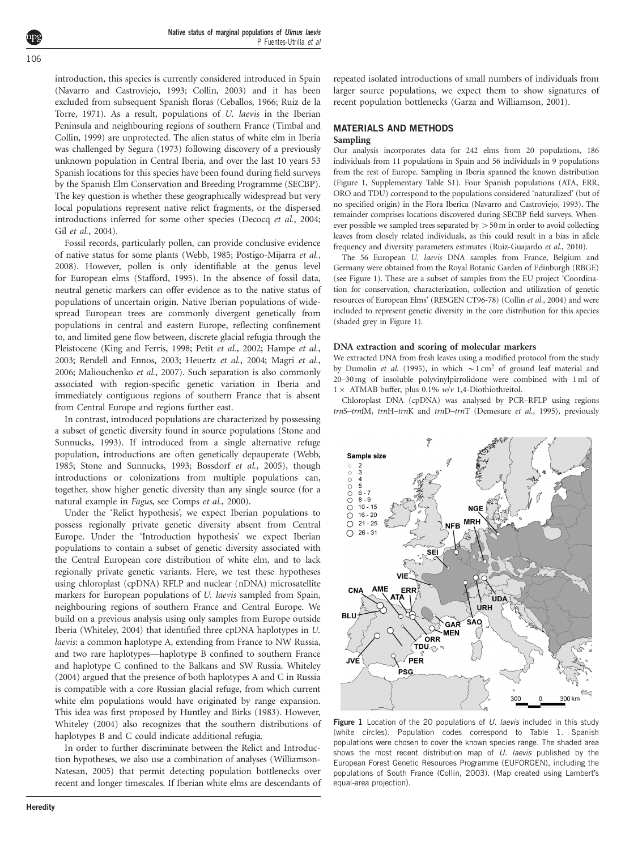Native status of marginal populations of Ulmus laevis P Fuentes-Utrilla et al

introduction, this species is currently considered introduced in Spain ([Navarro and Castroviejo, 1993](#page-7-0); [Collin, 2003\)](#page-7-0) and it has been excluded from subsequent Spanish floras ([Ceballos, 1966](#page-7-0); [Ruiz de la](#page-7-0) [Torre, 1971\)](#page-7-0). As a result, populations of U. laevis in the Iberian Peninsula and neighbouring regions of southern France ([Timbal and](#page-8-0) [Collin, 1999\)](#page-8-0) are unprotected. The alien status of white elm in Iberia was challenged by [Segura \(1973\)](#page-7-0) following discovery of a previously unknown population in Central Iberia, and over the last 10 years 53 Spanish locations for this species have been found during field surveys by the Spanish Elm Conservation and Breeding Programme (SECBP). The key question is whether these geographically widespread but very local populations represent native relict fragments, or the dispersed introductions inferred for some other species ([Decocq](#page-7-0) et al., 2004; Gil et al.[, 2004\)](#page-7-0).

Fossil records, particularly pollen, can provide conclusive evidence of native status for some plants [\(Webb, 1985](#page-8-0); [Postigo-Mijarra](#page-7-0) et al., [2008](#page-7-0)). However, pollen is only identifiable at the genus level for European elms [\(Stafford, 1995\)](#page-7-0). In the absence of fossil data, neutral genetic markers can offer evidence as to the native status of populations of uncertain origin. Native Iberian populations of widespread European trees are commonly divergent genetically from populations in central and eastern Europe, reflecting confinement to, and limited gene flow between, discrete glacial refugia through the Pleistocene [\(King and Ferris, 1998](#page-7-0); Petit et al.[, 2002](#page-7-0); [Hampe](#page-7-0) et al., [2003](#page-7-0); [Rendell and Ennos, 2003](#page-7-0); [Heuertz](#page-7-0) et al., 2004; [Magri](#page-7-0) et al., [2006](#page-7-0); [Maliouchenko](#page-7-0) et al., 2007). Such separation is also commonly associated with region-specific genetic variation in Iberia and immediately contiguous regions of southern France that is absent from Central Europe and regions further east.

In contrast, introduced populations are characterized by possessing a subset of genetic diversity found in source populations [\(Stone and](#page-8-0) [Sunnucks, 1993](#page-8-0)). If introduced from a single alternative refuge population, introductions are often genetically depauperate [\(Webb,](#page-8-0) [1985](#page-8-0); [Stone and Sunnucks, 1993;](#page-8-0) [Bossdorf](#page-7-0) et al., 2005), though introductions or colonizations from multiple populations can, together, show higher genetic diversity than any single source (for a natural example in Fagus, see [Comps](#page-7-0) et al., 2000).

Under the 'Relict hypothesis', we expect Iberian populations to possess regionally private genetic diversity absent from Central Europe. Under the 'Introduction hypothesis' we expect Iberian populations to contain a subset of genetic diversity associated with the Central European core distribution of white elm, and to lack regionally private genetic variants. Here, we test these hypotheses using chloroplast (cpDNA) RFLP and nuclear (nDNA) microsatellite markers for European populations of U. laevis sampled from Spain, neighbouring regions of southern France and Central Europe. We build on a previous analysis using only samples from Europe outside Iberia ([Whiteley, 2004\)](#page-8-0) that identified three cpDNA haplotypes in U. laevis: a common haplotype A, extending from France to NW Russia, and two rare haplotypes—haplotype B confined to southern France and haplotype C confined to the Balkans and SW Russia. [Whiteley](#page-8-0) [\(2004\)](#page-8-0) argued that the presence of both haplotypes A and C in Russia is compatible with a core Russian glacial refuge, from which current white elm populations would have originated by range expansion. This idea was first proposed by [Huntley and Birks \(1983\).](#page-7-0) However, [Whiteley \(2004\)](#page-8-0) also recognizes that the southern distributions of haplotypes B and C could indicate additional refugia.

In order to further discriminate between the Relict and Introduction hypotheses, we also use a combination of analyses [\(Williamson-](#page-8-0)[Natesan, 2005](#page-8-0)) that permit detecting population bottlenecks over recent and longer timescales. If Iberian white elms are descendants of

repeated isolated introductions of small numbers of individuals from larger source populations, we expect them to show signatures of recent population bottlenecks [\(Garza and Williamson, 2001](#page-7-0)).

#### MATERIALS AND METHODS

# Sampling

Our analysis incorporates data for 242 elms from 20 populations, 186 individuals from 11 populations in Spain and 56 individuals in 9 populations from the rest of Europe. Sampling in Iberia spanned the known distribution (Figure 1, Supplementary Table S1). Four Spanish populations (ATA, ERR, ORO and TDU) correspond to the populations considered 'naturalized' (but of no specified origin) in the Flora Iberica [\(Navarro and Castroviejo, 1993\)](#page-7-0). The remainder comprises locations discovered during SECBP field surveys. Whenever possible we sampled trees separated by  $>50$  m in order to avoid collecting leaves from closely related individuals, as this could result in a bias in allele frequency and diversity parameters estimates [\(Ruiz-Guajardo](#page-7-0) et al., 2010).

The 56 European U. laevis DNA samples from France, Belgium and Germany were obtained from the Royal Botanic Garden of Edinburgh (RBGE) (see Figure 1). These are a subset of samples from the EU project 'Coordination for conservation, characterization, collection and utilization of genetic resources of European Elms' (RESGEN CT96-78) [\(Collin](#page-7-0) et al., 2004) and were included to represent genetic diversity in the core distribution for this species (shaded grey in Figure 1).

#### DNA extraction and scoring of molecular markers

We extracted DNA from fresh leaves using a modified protocol from the study by [Dumolin](#page-7-0) et al. (1995), in which  $\sim$ 1 cm<sup>2</sup> of ground leaf material and 20–30 mg of insoluble polyvinylpirrolidone were combined with 1 ml of  $1 \times$  ATMAB buffer, plus 0.1% w/v 1,4-Diothiothreitol.

Chloroplast DNA (cpDNA) was analysed by PCR–RFLP using regions trnS–trnfM, trnH–trnK and trnD–trnT [\(Demesure](#page-7-0) et al., 1995), previously



Figure 1 Location of the 20 populations of  $U$ . laevis included in this study (white circles). Population codes correspond to [Table 1](#page-3-0). Spanish populations were chosen to cover the known species range. The shaded area shows the most recent distribution map of  $U$ . laevis published by the European Forest Genetic Resources Programme (EUFORGEN), including the populations of South France ([Collin, 2003\)](#page-7-0). (Map created using Lambert's equal-area projection).

<span id="page-1-0"></span>106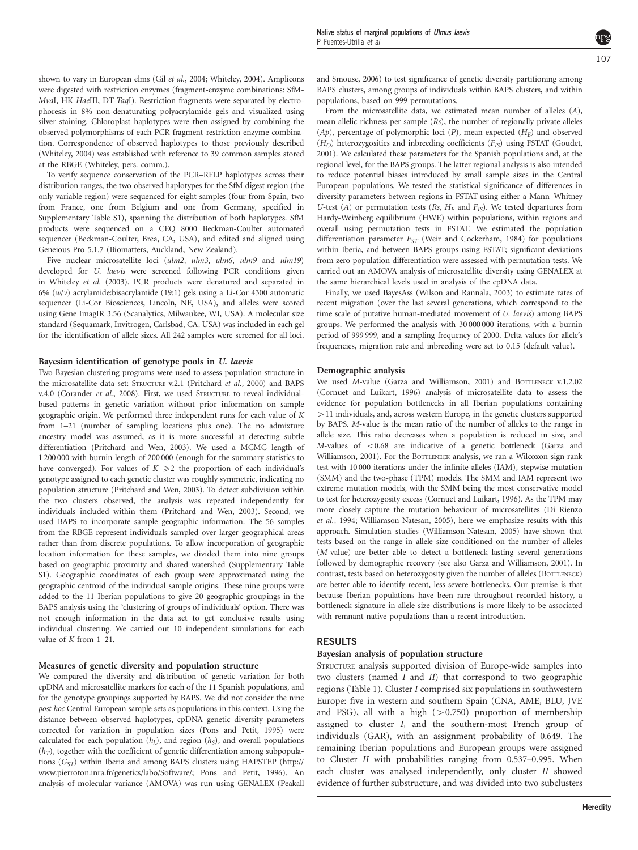shown to vary in European elms (Gil et al.[, 2004;](#page-7-0) [Whiteley, 2004\)](#page-8-0). Amplicons were digested with restriction enzymes (fragment-enzyme combinations: SfM-MvaI, HK-HaeIII, DT-TaqI). Restriction fragments were separated by electrophoresis in 8% non-denaturating polyacrylamide gels and visualized using silver staining. Chloroplast haplotypes were then assigned by combining the observed polymorphisms of each PCR fragment-restriction enzyme combination. Correspondence of observed haplotypes to those previously described ([Whiteley, 2004](#page-8-0)) was established with reference to 39 common samples stored at the RBGE (Whiteley, pers. comm.).

To verify sequence conservation of the PCR–RFLP haplotypes across their distribution ranges, the two observed haplotypes for the SfM digest region (the only variable region) were sequenced for eight samples (four from Spain, two from France, one from Belgium and one from Germany, specified in Supplementary Table S1), spanning the distribution of both haplotypes. SfM products were sequenced on a CEQ 8000 Beckman-Coulter automated sequencer (Beckman-Coulter, Brea, CA, USA), and edited and aligned using Geneious Pro 5.1.7 (Biomatters, Auckland, New Zealand).

Five nuclear microsatellite loci (ulm2, ulm3, ulm6, ulm9 and ulm19) developed for U. laevis were screened following PCR conditions given in [Whiteley](#page-8-0) et al. (2003). PCR products were denatured and separated in 6%  $(w/v)$  acrylamide:bisacrylamide (19:1) gels using a Li-Cor 4300 automatic sequencer (Li-Cor Biosciences, Lincoln, NE, USA), and alleles were scored using Gene ImagIR 3.56 (Scanalytics, Milwaukee, WI, USA). A molecular size standard (Sequamark, Invitrogen, Carlsbad, CA, USA) was included in each gel for the identification of allele sizes. All 242 samples were screened for all loci.

#### Bayesian identification of genotype pools in U. laevis

Two Bayesian clustering programs were used to assess population structure in the microsatellite data set: STRUCTURE v.2.1 ([Pritchard](#page-7-0) et al., 2000) and BAPS v.4.0 ([Corander](#page-7-0) et al., 2008). First, we used STRUCTURE to reveal individualbased patterns in genetic variation without prior information on sample geographic origin. We performed three independent runs for each value of K from 1–21 (number of sampling locations plus one). The no admixture ancestry model was assumed, as it is more successful at detecting subtle differentiation [\(Pritchard and Wen, 2003\)](#page-7-0). We used a MCMC length of 1 200 000 with burnin length of 200 000 (enough for the summary statistics to have converged). For values of  $K \geq 2$  the proportion of each individual's genotype assigned to each genetic cluster was roughly symmetric, indicating no population structure ([Pritchard and Wen, 2003](#page-7-0)). To detect subdivision within the two clusters observed, the analysis was repeated independently for individuals included within them ([Pritchard and Wen, 2003\)](#page-7-0). Second, we used BAPS to incorporate sample geographic information. The 56 samples from the RBGE represent individuals sampled over larger geographical areas rather than from discrete populations. To allow incorporation of geographic location information for these samples, we divided them into nine groups based on geographic proximity and shared watershed (Supplementary Table S1). Geographic coordinates of each group were approximated using the geographic centroid of the individual sample origins. These nine groups were added to the 11 Iberian populations to give 20 geographic groupings in the BAPS analysis using the 'clustering of groups of individuals' option. There was not enough information in the data set to get conclusive results using individual clustering. We carried out 10 independent simulations for each value of K from 1-21.

#### Measures of genetic diversity and population structure

We compared the diversity and distribution of genetic variation for both cpDNA and microsatellite markers for each of the 11 Spanish populations, and for the genotype groupings supported by BAPS. We did not consider the nine post hoc Central European sample sets as populations in this context. Using the distance between observed haplotypes, cpDNA genetic diversity parameters corrected for variation in population sizes [\(Pons and Petit, 1995\)](#page-7-0) were calculated for each population  $(h_k)$ , and region  $(h_S)$ , and overall populations  $(h_T)$ , together with the coefficient of genetic differentiation among subpopulations  $(G<sub>ST</sub>)$  within Iberia and among BAPS clusters using HAPSTEP [\(http://](http://www.pierroton.inra.fr/genetics/labo/Software/) [www.pierroton.inra.fr/genetics/labo/Software/](http://www.pierroton.inra.fr/genetics/labo/Software/); [Pons and Petit, 1996\)](#page-7-0). An analysis of molecular variance (AMOVA) was run using GENALEX [\(Peakall](#page-7-0)

[and Smouse, 2006\)](#page-7-0) to test significance of genetic diversity partitioning among BAPS clusters, among groups of individuals within BAPS clusters, and within populations, based on 999 permutations.

From the microsatellite data, we estimated mean number of alleles (A), mean allelic richness per sample (Rs), the number of regionally private alleles  $(Ap)$ , percentage of polymorphic loci  $(P)$ , mean expected  $(H<sub>E</sub>)$  and observed  $(H<sub>O</sub>)$  heterozygosities and inbreeding coefficients  $(F<sub>IS</sub>)$  using FSTAT ([Goudet,](#page-7-0) [2001\)](#page-7-0). We calculated these parameters for the Spanish populations and, at the regional level, for the BAPS groups. The latter regional analysis is also intended to reduce potential biases introduced by small sample sizes in the Central European populations. We tested the statistical significance of differences in diversity parameters between regions in FSTAT using either a Mann–Whitney U-test (A) or permutation tests (Rs,  $H_F$  and  $F_{IS}$ ). We tested departures from Hardy-Weinberg equilibrium (HWE) within populations, within regions and overall using permutation tests in FSTAT. We estimated the population differentiation parameter  $F_{ST}$  ([Weir and Cockerham, 1984](#page-8-0)) for populations within Iberia, and between BAPS groups using FSTAT; significant deviations from zero population differentiation were assessed with permutation tests. We carried out an AMOVA analysis of microsatellite diversity using GENALEX at the same hierarchical levels used in analysis of the cpDNA data.

Finally, we used BayesAss [\(Wilson and Rannala, 2003](#page-8-0)) to estimate rates of recent migration (over the last several generations, which correspond to the time scale of putative human-mediated movement of U. laevis) among BAPS groups. We performed the analysis with 30 000 000 iterations, with a burnin period of 999 999, and a sampling frequency of 2000. Delta values for allele's frequencies, migration rate and inbreeding were set to 0.15 (default value).

#### Demographic analysis

We used M-value [\(Garza and Williamson, 2001\)](#page-7-0) and BOTTLENECK v.1.2.02 ([Cornuet and Luikart, 1996\)](#page-7-0) analysis of microsatellite data to assess the evidence for population bottlenecks in all Iberian populations containing  $>11$  individuals, and, across western Europe, in the genetic clusters supported by BAPS. M-value is the mean ratio of the number of alleles to the range in allele size. This ratio decreases when a population is reduced in size, and  $M$ -values of  $< 0.68$  are indicative of a genetic bottleneck [\(Garza and](#page-7-0) [Williamson, 2001](#page-7-0)). For the BOTTLENECK analysis, we ran a Wilcoxon sign rank test with 10 000 iterations under the infinite alleles (IAM), stepwise mutation (SMM) and the two-phase (TPM) models. The SMM and IAM represent two extreme mutation models, with the SMM being the most conservative model to test for heterozygosity excess [\(Cornuet and Luikart, 1996](#page-7-0)). As the TPM may more closely capture the mutation behaviour of microsatellites ([Di Rienzo](#page-7-0) et al.[, 1994;](#page-7-0) [Williamson-Natesan, 2005](#page-8-0)), here we emphasize results with this approach. Simulation studies ([Williamson-Natesan, 2005](#page-8-0)) have shown that tests based on the range in allele size conditioned on the number of alleles (M-value) are better able to detect a bottleneck lasting several generations followed by demographic recovery (see also [Garza and Williamson, 2001\)](#page-7-0). In contrast, tests based on heterozygosity given the number of alleles (BOTTLENECK) are better able to identify recent, less-severe bottlenecks. Our premise is that because Iberian populations have been rare throughout recorded history, a bottleneck signature in allele-size distributions is more likely to be associated with remnant native populations than a recent introduction.

#### RESULTS

#### Bayesian analysis of population structure

STRUCTURE analysis supported division of Europe-wide samples into two clusters (named I and II) that correspond to two geographic regions [\(Table 1](#page-3-0)). Cluster I comprised six populations in southwestern Europe: five in western and southern Spain (CNA, AME, BLU, JVE and PSG), all with a high  $(>0.750)$  proportion of membership assigned to cluster I, and the southern-most French group of individuals (GAR), with an assignment probability of 0.649. The remaining Iberian populations and European groups were assigned to Cluster II with probabilities ranging from 0.537–0.995. When each cluster was analysed independently, only cluster II showed evidence of further substructure, and was divided into two subclusters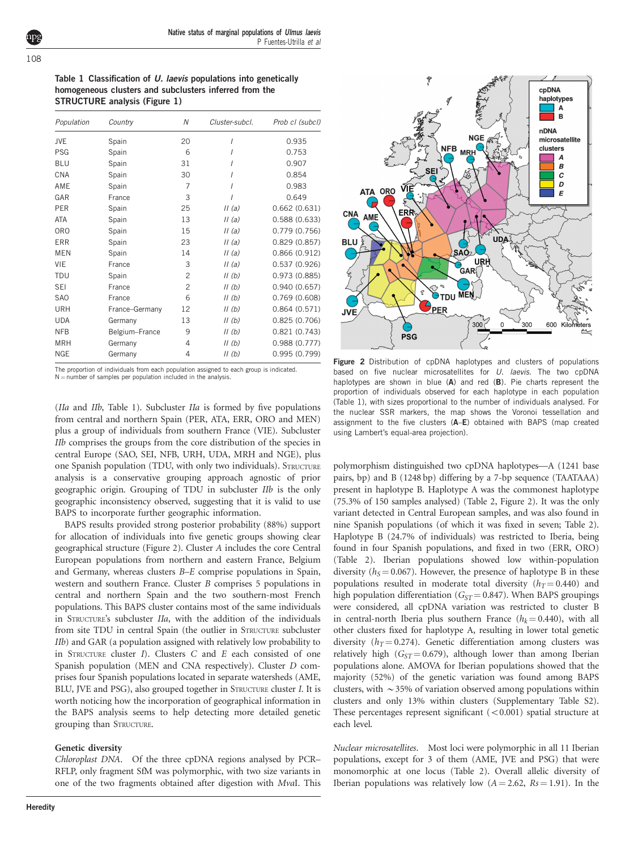<span id="page-3-0"></span>108

Table 1 Classification of U. laevis populations into genetically homogeneous clusters and subclusters inferred from the STRUCTURE analysis [\(Figure 1\)](#page-1-0)

| Population | Country        | Ν              | Cluster-subcl. | Prob cl (subcl) |
|------------|----------------|----------------|----------------|-----------------|
| <b>JVE</b> | Spain          | 20             |                | 0.935           |
| <b>PSG</b> | Spain          | 6              |                | 0.753           |
| <b>BLU</b> | Spain          | 31             |                | 0.907           |
| CNA        | Spain          | 30             |                | 0.854           |
| AME        | Spain          | 7              |                | 0.983           |
| GAR        | France         | 3              | I              | 0.649           |
| <b>PER</b> | Spain          | 25             | II(a)          | 0.662(0.631)    |
| <b>ATA</b> | Spain          | 13             | II(a)          | 0.588(0.633)    |
| <b>ORO</b> | Spain          | 15             | II(a)          | 0.779 (0.756)   |
| <b>ERR</b> | Spain          | 23             | II(a)          | 0.829(0.857)    |
| <b>MEN</b> | Spain          | 14             | II(a)          | 0.866(0.912)    |
| VIE        | France         | 3              | II(a)          | 0.537(0.926)    |
| <b>TDU</b> | Spain          | $\overline{c}$ | II(b)          | 0.973 (0.885)   |
| <b>SEI</b> | France         | $\overline{c}$ | II(b)          | 0.940(0.657)    |
| <b>SAO</b> | France         | 6              | II(b)          | 0.769(0.608)    |
| URH        | France-Germany | 12             | II(b)          | 0.864(0.571)    |
| <b>UDA</b> | Germany        | 13             | II(b)          | 0.825(0.706)    |
| <b>NFB</b> | Belgium-France | 9              | II(b)          | 0.821(0.743)    |
| <b>MRH</b> | Germany        | 4              | II(b)          | 0.988(0.777)    |
| <b>NGE</b> | Germany        | 4              | II(b)          | 0.995(0.799)    |

The proportion of individuals from each population assigned to each group is indicated.  $N =$  number of samples per population included in the analysis.

(*IIa* and *IIb*, Table 1). Subcluster *IIa* is formed by five populations from central and northern Spain (PER, ATA, ERR, ORO and MEN) plus a group of individuals from southern France (VIE). Subcluster IIb comprises the groups from the core distribution of the species in central Europe (SAO, SEI, NFB, URH, UDA, MRH and NGE), plus one Spanish population (TDU, with only two individuals). STRUCTURE analysis is a conservative grouping approach agnostic of prior geographic origin. Grouping of TDU in subcluster IIb is the only geographic inconsistency observed, suggesting that it is valid to use BAPS to incorporate further geographic information.

BAPS results provided strong posterior probability (88%) support for allocation of individuals into five genetic groups showing clear geographical structure (Figure 2). Cluster A includes the core Central European populations from northern and eastern France, Belgium and Germany, whereas clusters B–E comprise populations in Spain, western and southern France. Cluster B comprises 5 populations in central and northern Spain and the two southern-most French populations. This BAPS cluster contains most of the same individuals in STRUCTURE's subcluster IIa, with the addition of the individuals from site TDU in central Spain (the outlier in STRUCTURE subcluster IIb) and GAR (a population assigned with relatively low probability to in STRUCTURE cluster  $I$ ). Clusters  $C$  and  $E$  each consisted of one Spanish population (MEN and CNA respectively). Cluster D comprises four Spanish populations located in separate watersheds (AME, BLU, JVE and PSG), also grouped together in STRUCTURE cluster I. It is worth noticing how the incorporation of geographical information in the BAPS analysis seems to help detecting more detailed genetic grouping than STRUCTURE.

#### Genetic diversity

Chloroplast DNA. Of the three cpDNA regions analysed by PCR– RFLP, only fragment SfM was polymorphic, with two size variants in one of the two fragments obtained after digestion with MvaI. This



Figure 2 Distribution of cpDNA haplotypes and clusters of populations based on five nuclear microsatellites for  $U$ . laevis. The two cpDNA haplotypes are shown in blue (A) and red (B). Pie charts represent the proportion of individuals observed for each haplotype in each population (Table 1), with sizes proportional to the number of individuals analysed. For the nuclear SSR markers, the map shows the Voronoi tessellation and assignment to the five clusters (A–E) obtained with BAPS (map created using Lambert's equal-area projection).

polymorphism distinguished two cpDNA haplotypes—A (1241 base pairs, bp) and B (1248 bp) differing by a 7-bp sequence (TAATAAA) present in haplotype B. Haplotype A was the commonest haplotype (75.3% of 150 samples analysed) [\(Table 2](#page-4-0), Figure 2). It was the only variant detected in Central European samples, and was also found in nine Spanish populations (of which it was fixed in seven; [Table 2](#page-4-0)). Haplotype B (24.7% of individuals) was restricted to Iberia, being found in four Spanish populations, and fixed in two (ERR, ORO) ([Table 2](#page-4-0)). Iberian populations showed low within-population diversity ( $h<sub>S</sub> = 0.067$ ). However, the presence of haplotype B in these populations resulted in moderate total diversity  $(h_T = 0.440)$  and high population differentiation ( $G_{ST}$  = 0.847). When BAPS groupings were considered, all cpDNA variation was restricted to cluster B in central-north Iberia plus southern France  $(h_k = 0.440)$ , with all other clusters fixed for haplotype A, resulting in lower total genetic diversity ( $h_T = 0.274$ ). Genetic differentiation among clusters was relatively high ( $G_{ST} = 0.679$ ), although lower than among Iberian populations alone. AMOVA for Iberian populations showed that the majority (52%) of the genetic variation was found among BAPS clusters, with  $\sim$ 35% of variation observed among populations within clusters and only 13% within clusters (Supplementary Table S2). These percentages represent significant  $(<0.001)$  spatial structure at each level.

Nuclear microsatellites. Most loci were polymorphic in all 11 Iberian populations, except for 3 of them (AME, JVE and PSG) that were monomorphic at one locus ([Table 2\)](#page-4-0). Overall allelic diversity of Iberian populations was relatively low  $(A = 2.62, Rs = 1.91)$ . In the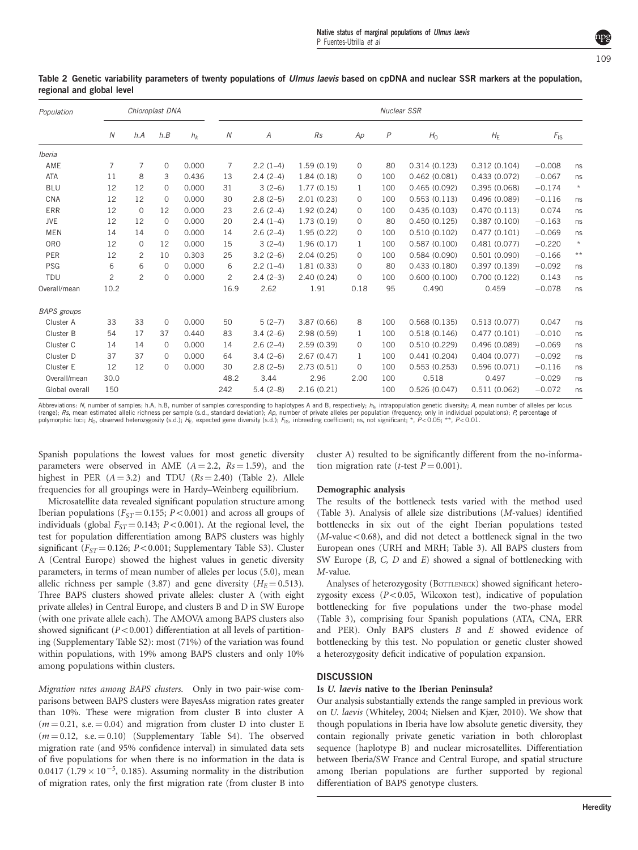| Population         | Chloroplast DNA |                |              | Nuclear SSR |                |                |            |              |                |                |                  |                 |                 |
|--------------------|-----------------|----------------|--------------|-------------|----------------|----------------|------------|--------------|----------------|----------------|------------------|-----------------|-----------------|
|                    | $\overline{N}$  | h.A            | h.B          | $h_k$       | Ν              | $\overline{A}$ | Rs         | Ap           | $\overline{P}$ | H <sub>0</sub> | $H_{\mathsf{E}}$ | $F_{\text{IS}}$ |                 |
| Iberia             |                 |                |              |             |                |                |            |              |                |                |                  |                 |                 |
| AME                | 7               | 7              | $\mathbf{O}$ | 0.000       | $\overline{7}$ | $2.2(1-4)$     | 1.59(0.19) | 0            | 80             | 0.314(0.123)   | 0.312(0.104)     | $-0.008$        | ns              |
| <b>ATA</b>         | 11              | 8              | 3            | 0.436       | 13             | $2.4(2-4)$     | 1.84(0.18) | 0            | 100            | 0.462(0.081)   | 0.433(0.072)     | $-0.067$        | ns              |
| <b>BLU</b>         | 12              | 12             | 0            | 0.000       | 31             | $3(2-6)$       | 1.77(0.15) | $\mathbf{1}$ | 100            | 0.465(0.092)   | 0.395(0.068)     | $-0.174$        | $\star$         |
| CNA                | 12              | 12             | $\Omega$     | 0.000       | 30             | $2.8(2-5)$     | 2.01(0.23) | 0            | 100            | 0.553(0.113)   | 0.496(0.089)     | $-0.116$        | ns              |
| <b>ERR</b>         | 12              | $\mathbf{0}$   | 12           | 0.000       | 23             | $2.6(2-4)$     | 1.92(0.24) | $\mathbf{O}$ | 100            | 0.435(0.103)   | 0.470(0.113)     | 0.074           | ns              |
| <b>JVE</b>         | 12              | 12             | $\Omega$     | 0.000       | 20             | $2.4(1-4)$     | 1.73(0.19) | 0            | 80             | 0.450(0.125)   | 0.387(0.100)     | $-0.163$        | ns              |
| <b>MEN</b>         | 14              | 14             | $\Omega$     | 0.000       | 14             | $2.6(2-4)$     | 1.95(0.22) | $\mathbf{O}$ | 100            | 0.510(0.102)   | 0.477(0.101)     | $-0.069$        | ns              |
| <b>ORO</b>         | 12              | 0              | 12           | 0.000       | 15             | $3(2-4)$       | 1.96(0.17) | $\mathbf{1}$ | 100            | 0.587(0.100)   | 0.481(0.077)     | $-0.220$        | $\star$         |
| PER                | 12              | 2              | 10           | 0.303       | 25             | $3.2(2-6)$     | 2.04(0.25) | 0            | 100            | 0.584(0.090)   | 0.501(0.090)     | $-0.166$        | $^{\star\star}$ |
| <b>PSG</b>         | 6               | 6              | $\Omega$     | 0.000       | 6              | $2.2(1-4)$     | 1.81(0.33) | $\Omega$     | 80             | 0.433(0.180)   | 0.397(0.139)     | $-0.092$        | ns              |
| <b>TDU</b>         | $\overline{c}$  | $\overline{c}$ | $\Omega$     | 0.000       | 2              | $2.4(2-3)$     | 2.40(0.24) | 0            | 100            | 0.600(0.100)   | 0.700(0.122)     | 0.143           | ns              |
| Overall/mean       | 10.2            |                |              |             | 16.9           | 2.62           | 1.91       | 0.18         | 95             | 0.490          | 0.459            | $-0.078$        | ns              |
| <b>BAPS</b> groups |                 |                |              |             |                |                |            |              |                |                |                  |                 |                 |
| Cluster A          | 33              | 33             | $\Omega$     | 0.000       | 50             | $5(2-7)$       | 3.87(0.66) | 8            | 100            | 0.568(0.135)   | 0.513(0.077)     | 0.047           | ns              |
| Cluster B          | 54              | 17             | 37           | 0.440       | 83             | $3.4(2-6)$     | 2.98(0.59) | $\mathbf{1}$ | 100            | 0.518(0.146)   | 0.477(0.101)     | $-0.010$        | ns              |
| Cluster C          | 14              | 14             | $\Omega$     | 0.000       | 14             | $2.6(2-4)$     | 2.59(0.39) | 0            | 100            | 0.510(0.229)   | 0.496(0.089)     | $-0.069$        | ns              |
| Cluster D          | 37              | 37             | 0            | 0.000       | 64             | $3.4(2-6)$     | 2.67(0.47) | $\mathbf{1}$ | 100            | 0.441(0.204)   | 0.404(0.077)     | $-0.092$        | ns              |
| Cluster E          | 12              | 12             | $\Omega$     | 0.000       | 30             | $2.8(2-5)$     | 2.73(0.51) | 0            | 100            | 0.553(0.253)   | 0.596(0.071)     | $-0.116$        | ns              |
| Overall/mean       | 30.0            |                |              |             | 48.2           | 3.44           | 2.96       | 2.00         | 100            | 0.518          | 0.497            | $-0.029$        | ns              |
| Global overall     | 150             |                |              |             | 242            | $5.4(2-8)$     | 2.16(0.21) |              | 100            | 0.526(0.047)   | 0.511(0.062)     | $-0.072$        | ns              |

<span id="page-4-0"></span>Table 2 Genetic variability parameters of twenty populations of Ulmus laevis based on cpDNA and nuclear SSR markers at the population, regional and global level

Abbreviations: N, number of samples; h.A, h.B, number of samples corresponding to haplotypes A and B, respectively; h<sub>k</sub>, intrapopulation genetic diversity; A, mean number of alleles per locus (range); *Rs*, mean estimated allelic richness per sample (s.d., standard deviation); Ap, number of private alleles per population (frequency; only in individual populations); *P*, percentage ot<br>polymorphic loci; H<sub>0</sub>, obs

Spanish populations the lowest values for most genetic diversity parameters were observed in AME  $(A = 2.2, Rs = 1.59)$ , and the highest in PER  $(A = 3.2)$  and TDU  $(Rs = 2.40)$  (Table 2). Allele frequencies for all groupings were in Hardy–Weinberg equilibrium.

Microsatellite data revealed significant population structure among Iberian populations ( $F_{ST}$  = 0.155; P < 0.001) and across all groups of individuals (global  $F_{ST} = 0.143$ ;  $P < 0.001$ ). At the regional level, the test for population differentiation among BAPS clusters was highly significant ( $F_{ST}$  = 0.126; P < 0.001; Supplementary Table S3). Cluster A (Central Europe) showed the highest values in genetic diversity parameters, in terms of mean number of alleles per locus (5.0), mean allelic richness per sample (3.87) and gene diversity ( $H_E$  = 0.513). Three BAPS clusters showed private alleles: cluster A (with eight private alleles) in Central Europe, and clusters B and D in SW Europe (with one private allele each). The AMOVA among BAPS clusters also showed significant  $(P<0.001)$  differentiation at all levels of partitioning (Supplementary Table S2): most (71%) of the variation was found within populations, with 19% among BAPS clusters and only 10% among populations within clusters.

Migration rates among BAPS clusters. Only in two pair-wise comparisons between BAPS clusters were BayesAss migration rates greater than 10%. These were migration from cluster B into cluster A  $(m = 0.21, s.e. = 0.04)$  and migration from cluster D into cluster E  $(m = 0.12, s.e. = 0.10)$  (Supplementary Table S4). The observed migration rate (and 95% confidence interval) in simulated data sets of five populations for when there is no information in the data is 0.0417 (1.79  $\times$  10<sup>-5</sup>, 0.185). Assuming normality in the distribution of migration rates, only the first migration rate (from cluster B into

cluster A) resulted to be significantly different from the no-information migration rate (*t*-test  $P = 0.001$ ).

#### Demographic analysis

The results of the bottleneck tests varied with the method used [\(Table 3](#page-5-0)). Analysis of allele size distributions (M-values) identified bottlenecks in six out of the eight Iberian populations tested  $(M$ -value $< 0.68$ ), and did not detect a bottleneck signal in the two European ones (URH and MRH; [Table 3](#page-5-0)). All BAPS clusters from SW Europe  $(B, C, D, A)$  and  $E$ ) showed a signal of bottlenecking with M-value.

Analyses of heterozygosity (BOTTLENECK) showed significant heterozygosity excess  $(P<0.05$ , Wilcoxon test), indicative of population bottlenecking for five populations under the two-phase model [\(Table 3\)](#page-5-0), comprising four Spanish populations (ATA, CNA, ERR and PER). Only BAPS clusters B and E showed evidence of bottlenecking by this test. No population or genetic cluster showed a heterozygosity deficit indicative of population expansion.

# **DISCUSSION**

#### Is U. laevis native to the Iberian Peninsula?

Our analysis substantially extends the range sampled in previous work on U. laevis ([Whiteley, 2004;](#page-8-0) [Nielsen and Kjær, 2010](#page-7-0)). We show that though populations in Iberia have low absolute genetic diversity, they contain regionally private genetic variation in both chloroplast sequence (haplotype B) and nuclear microsatellites. Differentiation between Iberia/SW France and Central Europe, and spatial structure among Iberian populations are further supported by regional differentiation of BAPS genotype clusters.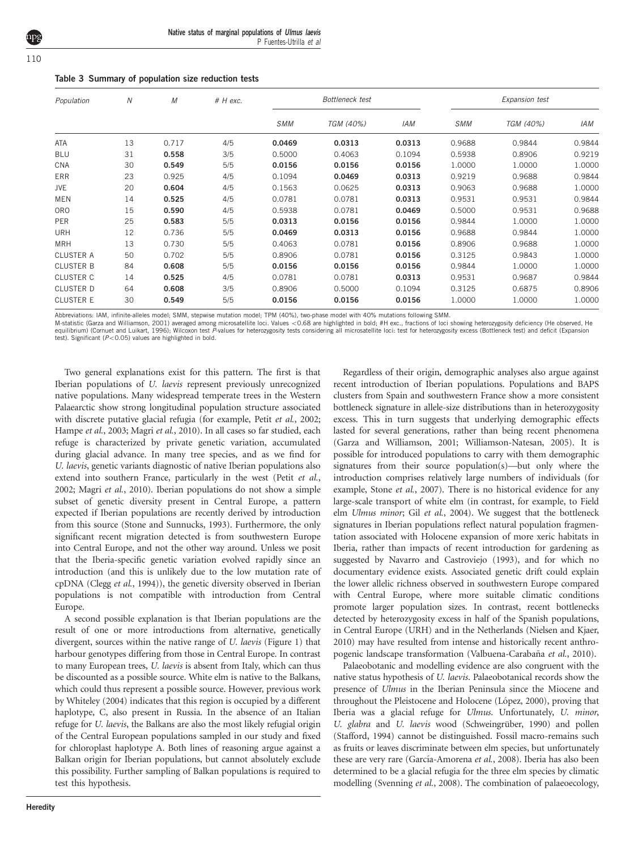| Native status of marginal populations of Ulmus laevis |  |  |                         |  |
|-------------------------------------------------------|--|--|-------------------------|--|
|                                                       |  |  | P Fuentes-Utrilla et al |  |

<span id="page-5-0"></span>

|  | ۰.<br>×<br>$\sim$ |
|--|-------------------|

| Table 3 Summary of population size reduction tests |  |  |  |  |  |
|----------------------------------------------------|--|--|--|--|--|
|----------------------------------------------------|--|--|--|--|--|

| Population       | N  | $\cal M$ | $#$ H exc. | <b>Bottleneck</b> test |           |            | Expansion test |           |        |
|------------------|----|----------|------------|------------------------|-----------|------------|----------------|-----------|--------|
|                  |    |          |            | <b>SMM</b>             | TGM (40%) | <b>IAM</b> | <b>SMM</b>     | TGM (40%) | IAM    |
| <b>ATA</b>       | 13 | 0.717    | 4/5        | 0.0469                 | 0.0313    | 0.0313     | 0.9688         | 0.9844    | 0.9844 |
| <b>BLU</b>       | 31 | 0.558    | 3/5        | 0.5000                 | 0.4063    | 0.1094     | 0.5938         | 0.8906    | 0.9219 |
| CNA              | 30 | 0.549    | 5/5        | 0.0156                 | 0.0156    | 0.0156     | 1.0000         | 1.0000    | 1.0000 |
| <b>ERR</b>       | 23 | 0.925    | 4/5        | 0.1094                 | 0.0469    | 0.0313     | 0.9219         | 0.9688    | 0.9844 |
| JVE              | 20 | 0.604    | 4/5        | 0.1563                 | 0.0625    | 0.0313     | 0.9063         | 0.9688    | 1.0000 |
| <b>MEN</b>       | 14 | 0.525    | 4/5        | 0.0781                 | 0.0781    | 0.0313     | 0.9531         | 0.9531    | 0.9844 |
| <b>ORO</b>       | 15 | 0.590    | 4/5        | 0.5938                 | 0.0781    | 0.0469     | 0.5000         | 0.9531    | 0.9688 |
| PER              | 25 | 0.583    | 5/5        | 0.0313                 | 0.0156    | 0.0156     | 0.9844         | 1.0000    | 1.0000 |
| <b>URH</b>       | 12 | 0.736    | 5/5        | 0.0469                 | 0.0313    | 0.0156     | 0.9688         | 0.9844    | 1.0000 |
| <b>MRH</b>       | 13 | 0.730    | 5/5        | 0.4063                 | 0.0781    | 0.0156     | 0.8906         | 0.9688    | 1.0000 |
| <b>CLUSTER A</b> | 50 | 0.702    | 5/5        | 0.8906                 | 0.0781    | 0.0156     | 0.3125         | 0.9843    | 1.0000 |
| <b>CLUSTER B</b> | 84 | 0.608    | 5/5        | 0.0156                 | 0.0156    | 0.0156     | 0.9844         | 1.0000    | 1.0000 |
| <b>CLUSTER C</b> | 14 | 0.525    | 4/5        | 0.0781                 | 0.0781    | 0.0313     | 0.9531         | 0.9687    | 0.9844 |
| <b>CLUSTER D</b> | 64 | 0.608    | 3/5        | 0.8906                 | 0.5000    | 0.1094     | 0.3125         | 0.6875    | 0.8906 |
| <b>CLUSTER E</b> | 30 | 0.549    | 5/5        | 0.0156                 | 0.0156    | 0.0156     | 1.0000         | 1.0000    | 1.0000 |

Abbreviations: IAM, infinite-alleles model; SMM, stepwise mutation model; TPM (40%), two-phase model with 40% mutations following SMM.

M-statistic [\(Garza and Williamson, 2001](#page-7-0)) averaged among microsatellite loci. Values <0.68 are highlighted in bold; #H exc., fractions of loci showing heterozygosity deficiency (He observed, He observed, He equilibrium) [\(Cornuet and Luikart, 1996\)](#page-7-0); Wilcoxon test P-values for heterozygosity tests considering all microsatellite loci: test for heterozygosity excess (Bottleneck test) and deficit (Expansion test). Significant  $(P<0.05)$  values are highlighted in bold.

Two general explanations exist for this pattern. The first is that Iberian populations of U. laevis represent previously unrecognized native populations. Many widespread temperate trees in the Western Palaearctic show strong longitudinal population structure associated with discrete putative glacial refugia (for example, Petit et al.[, 2002](#page-7-0); [Hampe](#page-7-0) et al., 2003; Magri et al., 2010). In all cases so far studied, each refuge is characterized by private genetic variation, accumulated during glacial advance. In many tree species, and as we find for U. laevis, genetic variants diagnostic of native Iberian populations also extend into southern France, particularly in the west (Petit [et al.](#page-7-0), [2002](#page-7-0); Magri et al., 2010). Iberian populations do not show a simple subset of genetic diversity present in Central Europe, a pattern expected if Iberian populations are recently derived by introduction from this source [\(Stone and Sunnucks, 1993](#page-8-0)). Furthermore, the only significant recent migration detected is from southwestern Europe into Central Europe, and not the other way around. Unless we posit that the Iberia-specific genetic variation evolved rapidly since an introduction (and this is unlikely due to the low mutation rate of cpDNA (Clegg et al.[, 1994](#page-7-0))), the genetic diversity observed in Iberian populations is not compatible with introduction from Central Europe.

A second possible explanation is that Iberian populations are the result of one or more introductions from alternative, genetically divergent, sources within the native range of U. laevis ([Figure 1](#page-1-0)) that harbour genotypes differing from those in Central Europe. In contrast to many European trees, U. laevis is absent from Italy, which can thus be discounted as a possible source. White elm is native to the Balkans, which could thus represent a possible source. However, previous work by [Whiteley \(2004\)](#page-8-0) indicates that this region is occupied by a different haplotype, C, also present in Russia. In the absence of an Italian refuge for U. laevis, the Balkans are also the most likely refugial origin of the Central European populations sampled in our study and fixed for chloroplast haplotype A. Both lines of reasoning argue against a Balkan origin for Iberian populations, but cannot absolutely exclude this possibility. Further sampling of Balkan populations is required to test this hypothesis.

Regardless of their origin, demographic analyses also argue against recent introduction of Iberian populations. Populations and BAPS clusters from Spain and southwestern France show a more consistent bottleneck signature in allele-size distributions than in heterozygosity excess. This in turn suggests that underlying demographic effects lasted for several generations, rather than being recent phenomena ([Garza and Williamson, 2001](#page-7-0); [Williamson-Natesan, 2005\)](#page-8-0). It is possible for introduced populations to carry with them demographic signatures from their source population(s)—but only where the introduction comprises relatively large numbers of individuals (for example, Stone et al.[, 2007\)](#page-8-0). There is no historical evidence for any large-scale transport of white elm (in contrast, for example, to Field elm Ulmus minor; Gil et al.[, 2004\)](#page-7-0). We suggest that the bottleneck signatures in Iberian populations reflect natural population fragmentation associated with Holocene expansion of more xeric habitats in Iberia, rather than impacts of recent introduction for gardening as suggested by [Navarro and Castroviejo \(1993\)](#page-7-0), and for which no documentary evidence exists. Associated genetic drift could explain the lower allelic richness observed in southwestern Europe compared with Central Europe, where more suitable climatic conditions promote larger population sizes. In contrast, recent bottlenecks detected by heterozygosity excess in half of the Spanish populations, in Central Europe (URH) and in the Netherlands (Nielsen and Kjaer, 2010) may have resulted from intense and historically recent anthropogenic landscape transformation (Valbuena-Carabaña et al., 2010).

Palaeobotanic and modelling evidence are also congruent with the native status hypothesis of U. laevis. Palaeobotanical records show the presence of Ulmus in the Iberian Peninsula since the Miocene and throughout the Pleistocene and Holocene (López, 2000), proving that Iberia was a glacial refuge for Ulmus. Unfortunately, U. minor, U. glabra and U. laevis wood (Schweingrüber, 1990) and pollen (Stafford, 1994) cannot be distinguished. Fossil macro-remains such as fruits or leaves discriminate between elm species, but unfortunately these are very rare (García-Amorena et al., 2008). Iberia has also been determined to be a glacial refugia for the three elm species by climatic modelling ([Svenning](#page-8-0) et al., 2008). The combination of palaeoecology,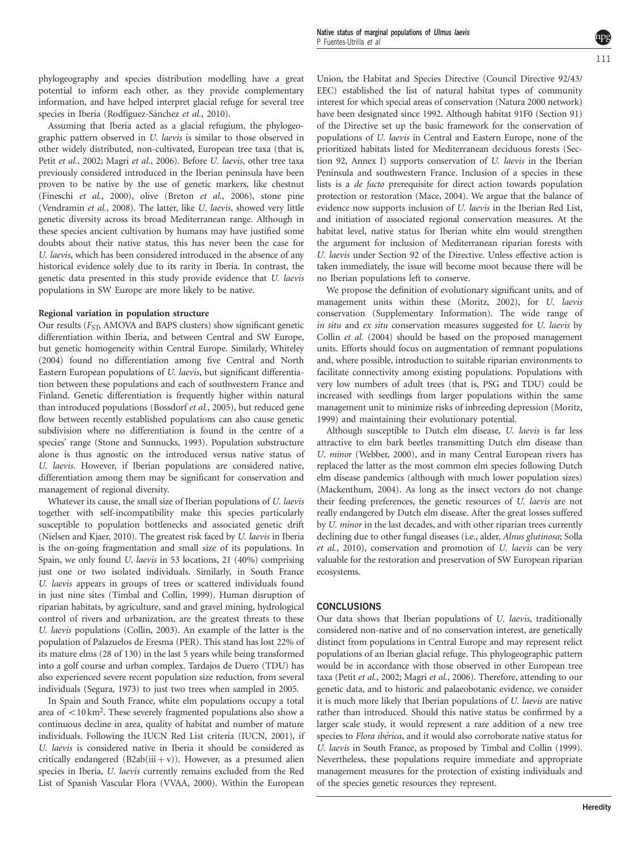phylogeography and species distribution modelling have a great potential to inform each other, as they provide complementary information, and have helped interpret glacial refuge for several tree species in Iberia (Rodfiguez-Sánchez et al., 2010).

Assuming that Iberia acted as a glacial refugium, the phylogeographic pattern observed in U. laevis is similar to those observed in other widely distributed, non-cultivated, European tree taxa (that is, Petit et al.[, 2002](#page-7-0); Magri et al.[, 2006](#page-7-0)). Before U. laevis, other tree taxa previously considered introduced in the Iberian peninsula have been proven to be native by the use of genetic markers, like chestnut [\(Fineschi](#page-7-0) et al., 2000), olive (Breton et al.[, 2006](#page-7-0)), stone pine [\(Vendramin](#page-8-0) et al., 2008). The latter, like U. laevis, showed very little genetic diversity across its broad Mediterranean range. Although in these species ancient cultivation by humans may have justified some doubts about their native status, this has never been the case for U. laevis, which has been considered introduced in the absence of any historical evidence solely due to its rarity in Iberia. In contrast, the genetic data presented in this study provide evidence that U. laevis populations in SW Europe are more likely to be native.

# Regional variation in population structure

Our results ( $F_{\text{ST}}$  AMOVA and BAPS clusters) show significant genetic differentiation within Iberia, and between Central and SW Europe, but genetic homogeneity within Central Europe. Similarly, [Whiteley](#page-8-0) [\(2004\)](#page-8-0) found no differentiation among five Central and North Eastern European populations of U. laevis, but significant differentiation between these populations and each of southwestern France and Finland. Genetic differentiation is frequently higher within natural than introduced populations [\(Bossdorf](#page-7-0) et al., 2005), but reduced gene flow between recently established populations can also cause genetic subdivision where no differentiation is found in the centre of a species' range ([Stone and Sunnucks, 1993\)](#page-8-0). Population substructure alone is thus agnostic on the introduced versus native status of U. laevis. However, if Iberian populations are considered native, differentiation among them may be significant for conservation and management of regional diversity.

Whatever its cause, the small size of Iberian populations of U. laevis together with self-incompatibility make this species particularly susceptible to population bottlenecks and associated genetic drift (Nielsen and Kjaer, 2010). The greatest risk faced by U. laevis in Iberia is the on-going fragmentation and small size of its populations. In Spain, we only found U. laevis in 53 locations, 21 (40%) comprising just one or two isolated individuals. Similarly, in South France U. laevis appears in groups of trees or scattered individuals found in just nine sites ([Timbal and Collin, 1999\)](#page-8-0). Human disruption of riparian habitats, by agriculture, sand and gravel mining, hydrological control of rivers and urbanization, are the greatest threats to these U. laevis populations ([Collin, 2003\)](#page-7-0). An example of the latter is the population of Palazuelos de Eresma (PER). This stand has lost 22% of its mature elms (28 of 130) in the last 5 years while being transformed into a golf course and urban complex. Tardajos de Duero (TDU) has also experienced severe recent population size reduction, from several individuals [\(Segura, 1973\)](#page-7-0) to just two trees when sampled in 2005.

In Spain and South France, white elm populations occupy a total area of  $\langle 10 \text{ km}^2$ . These severely fragmented populations also show a continuous decline in area, quality of habitat and number of mature individuals. Following the IUCN Red List criteria ([IUCN, 2001\)](#page-7-0), if U. laevis is considered native in Iberia it should be considered as critically endangered  $(B2ab(iii+v))$ . However, as a presumed alien species in Iberia, U. laevis currently remains excluded from the Red List of Spanish Vascular Flora ([VVAA, 2000\)](#page-8-0). Within the European Union, the Habitat and Species Directive (Council Directive 92/43/ EEC) established the list of natural habitat types of community interest for which special areas of conservation (Natura 2000 network) have been designated since 1992. Although habitat 91F0 (Section 91) of the Directive set up the basic framework for the conservation of populations of U. laevis in Central and Eastern Europe, none of the prioritized habitats listed for Mediterranean deciduous forests (Section 92, Annex I) supports conservation of U. laevis in the Iberian Peninsula and southwestern France. Inclusion of a species in these lists is a de facto prerequisite for direct action towards population protection or restoration [\(Mace, 2004\)](#page-7-0). We argue that the balance of evidence now supports inclusion of U. laevis in the Iberian Red List, and initiation of associated regional conservation measures. At the habitat level, native status for Iberian white elm would strengthen the argument for inclusion of Mediterranean riparian forests with U. laevis under Section 92 of the Directive. Unless effective action is taken immediately, the issue will become moot because there will be no Iberian populations left to conserve.

We propose the definition of evolutionary significant units, and of management units within these ([Moritz, 2002](#page-7-0)), for U. laevis conservation (Supplementary Information). The wide range of in situ and ex situ conservation measures suggested for U. laevis by Collin et al. [\(2004\)](#page-7-0) should be based on the proposed management units. Efforts should focus on augmentation of remnant populations and, where possible, introduction to suitable riparian environments to facilitate connectivity among existing populations. Populations with very low numbers of adult trees (that is, PSG and TDU) could be increased with seedlings from larger populations within the same management unit to minimize risks of inbreeding depression ([Moritz,](#page-7-0) [1999\)](#page-7-0) and maintaining their evolutionary potential.

Although susceptible to Dutch elm disease, U. laevis is far less attractive to elm bark beetles transmitting Dutch elm disease than U. minor [\(Webber, 2000\)](#page-8-0), and in many Central European rivers has replaced the latter as the most common elm species following Dutch elm disease pandemics (although with much lower population sizes) [\(Mackenthum, 2004](#page-7-0)). As long as the insect vectors do not change their feeding preferences, the genetic resources of U. laevis are not really endangered by Dutch elm disease. After the great losses suffered by U. minor in the last decades, and with other riparian trees currently declining due to other fungal diseases (i.e., alder, Alnus glutinosa; [Solla](#page-7-0) et al.[, 2010\)](#page-7-0), conservation and promotion of U. laevis can be very valuable for the restoration and preservation of SW European riparian ecosystems.

#### **CONCLUSIONS**

Our data shows that Iberian populations of U. laevis, traditionally considered non-native and of no conservation interest, are genetically distinct from populations in Central Europe and may represent relict populations of an Iberian glacial refuge. This phylogeographic pattern would be in accordance with those observed in other European tree taxa (Petit et al.[, 2002; Magri](#page-7-0) et al., 2006). Therefore, attending to our genetic data, and to historic and palaeobotanic evidence, we consider it is much more likely that Iberian populations of U. laevis are native rather than introduced. Should this native status be confirmed by a larger scale study, it would represent a rare addition of a new tree species to Flora ibérica, and it would also corroborate native status for U. laevis in South France, as proposed by [Timbal and Collin \(1999\).](#page-8-0) Nevertheless, these populations require immediate and appropriate management measures for the protection of existing individuals and of the species genetic resources they represent.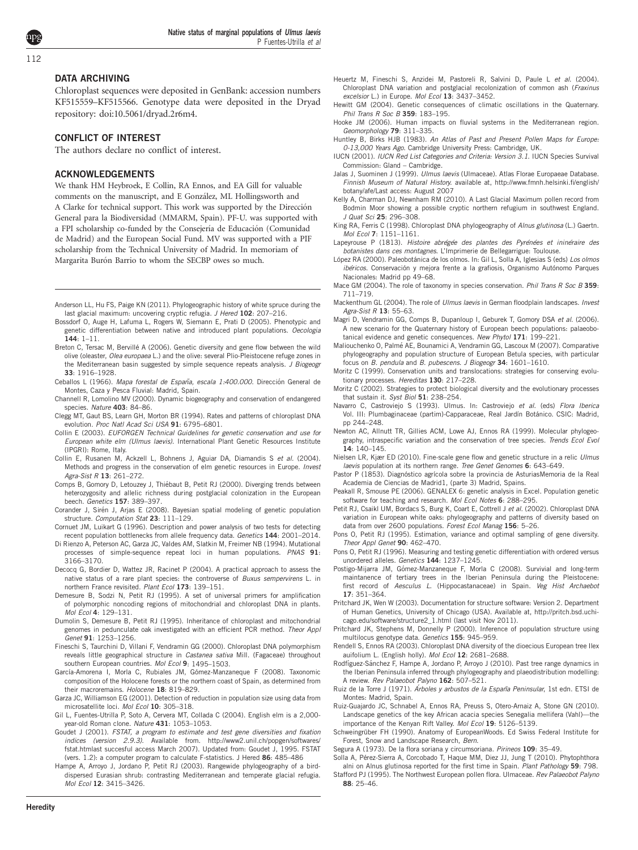# <span id="page-7-0"></span>DATA ARCHIVING

Chloroplast sequences were deposited in GenBank: accession numbers KF515559–KF515566. Genotype data were deposited in the Dryad repository: [doi:10.5061/dryad.2r6m4](http://dx.doi.org/doi:10.5061/dryad.2r6m4).

#### CONFLICT OF INTEREST

The authors declare no conflict of interest.

#### ACKNOWLEDGEMENTS

We thank HM Heybroek, E Collin, RA Ennos, and EA Gill for valuable comments on the manuscript, and E González, ML Hollingsworth and A Clarke for technical support. This work was supported by the Dirección General para la Biodiversidad (MMARM, Spain). PF-U. was supported with a FPI scholarship co-funded by the Consejería de Educación (Comunidad de Madrid) and the European Social Fund. MV was supported with a PIF scholarship from the Technical University of Madrid. In memoriam of Margarita Burón Barrio to whom the SECBP owes so much.

- Anderson LL, Hu FS, Paige KN (2011). Phylogeographic history of white spruce during the last glacial maximum: uncovering cryptic refugia. J Hered 102: 207-216.
- Bossdorf O, Auge H, Lafuma L, Rogers W, Siemann E, Prati D (2005). Phenotypic and genetic differentiation between native and introduced plant populations. Oecologia  $144.1 - 11$
- Breton C, Tersac M, Bervillé A (2006). Genetic diversity and gene flow between the wild olive (oleaster, Olea europaea L.) and the olive: several Plio-Pleistocene refuge zones in the Mediterranean basin suggested by simple sequence repeats analysis. J Biogeogr 33: 1916–1928.
- Ceballos L (1966). Mapa forestal de España, escala 1:400.000. Dirección General de Montes, Caza y Pesca Fluvial: Madrid, Spain.
- Channell R, Lomolino MV (2000). Dynamic biogeography and conservation of endangered species. Nature 403: 84-86.
- Clegg MT, Gaut BS, Learn GH, Morton BR (1994). Rates and patterns of chloroplast DNA evolution. Proc Natl Acad Sci USA 91: 6795–6801.
- Collin E (2003). EUFORGEN Technical Guidelines for genetic conservation and use for European white elm (Ulmus laevis). International Plant Genetic Resources Institute (IPGRI): Rome, Italy.
- Collin E, Rusanen M, Ackzell L, Bohnens J, Aguiar DA, Diamandis S et al. (2004). Methods and progress in the conservation of elm genetic resources in Europe. Invest Agra-Sist R 13: 261–272.
- Comps B, Gomory D, Letouzey J, Thiébaut B, Petit RJ (2000). Diverging trends between heterozygosity and allelic richness during postglacial colonization in the European beech. Genetics 157: 389–397.
- Corander J, Sirén J, Arjas E (2008). Bayesian spatial modeling of genetic population structure. Computation Stat 23: 111-129.
- Cornuet JM, Luikart G (1996). Description and power analysis of two tests for detecting recent population bottlenecks from allele frequency data. Genetics 144: 2001–2014.
- Di Rienzo A, Peterson AC, Garza JC, Valdes AM, Slatkin M, Freimer NB (1994). Mutational processes of simple-sequence repeat loci in human populations. PNAS 91: 3166–3170.
- Decocq G, Bordier D, Wattez JR, Racinet P (2004). A practical approach to assess the native status of a rare plant species: the controverse of Buxus sempervirens L. in northern France revisited. Plant Ecol 173: 139–151.
- Demesure B, Sodzi N, Petit RJ (1995). A set of universal primers for amplification of polymorphic noncoding regions of mitochondrial and chloroplast DNA in plants. Mol Ecol 4: 129–131.
- Dumolin S, Demesure B, Petit RJ (1995). Inheritance of chloroplast and mitochondrial genomes in pedunculate oak investigated with an efficient PCR method. Theor Appl Genet 91: 1253–1256.
- Fineschi S, Taurchini D, Villani F, Vendramin GG (2000). Chloroplast DNA polymorphism reveals little geographical structure in Castanea sativa Mill. (Fagaceae) throughout southern European countries. Mol Ecol 9: 1495-1503.
- García-Amorena I, Morla C, Rubiales JM, Gómez-Manzaneque F (2008). Taxonomic composition of the Holocene forests or the northern coast of Spain, as determined from their macroremains. Holocene 18: 819–829.
- Garza JC, Williamson EG (2001). Detection of reduction in population size using data from microsatellite loci. Mol Ecol 10: 305-318.
- Gil L, Fuentes-Utrilla P, Soto A, Cervera MT, Collada C (2004). English elm is a 2,000 year-old Roman clone. Nature 431: 1053-1053.
- Goudet J (2001). FSTAT, a program to estimate and test gene diversities and fixation indices (version 2.9.3). Available from. [http://www2.unil.ch/popgen/softwares/](http://www2.unil.ch/popgen/softwares/fstat.htm) [fstat.htm](http://www2.unil.ch/popgen/softwares/fstat.htm)last succesful access March 2007). Updated from: Goudet J, 1995. FSTAT (vers. 1.2): a computer program to calculate F-statistics. J Hered 86: 485–486
- Hampe A, Arroyo J, Jordano P, Petit RJ (2003). Rangewide phylogeography of a birddispersed Eurasian shrub: contrasting Mediterranean and temperate glacial refugia. Mol Ecol 12: 3415–3426.
- Heuertz M, Fineschi S, Anzidei M, Pastoreli R, Salvini D, Paule L et al. (2004). Chloroplast DNA variation and postglacial recolonization of common ash (Fraxinus excelsior L.) in Europe. Mol Ecol 13: 3437-3452.
- Hewitt GM (2004). Genetic consequences of climatic oscillations in the Quaternary. Phil Trans R Soc B 359: 183–195.
- Hooke JM (2006). Human impacts on fluvial systems in the Mediterranean region. Geomorphology 79: 311–335.
- Huntley B, Birks HJB (1983). An Atlas of Past and Present Pollen Maps for Europe: 0-13,000 Years Ago. Cambridge University Press: Cambridge, UK.
- IUCN (2001). IUCN Red List Categories and Criteria: Version 3.1. IUCN Species Survival Commission: Gland – Cambridge.
- Jalas J, Suominen J (1999). Ulmus laevis (Ulmaceae). Atlas Florae Europaeae Database. Finnish Museum of Natural History. available at, [http://www.fmnh.helsinki.fi/english/](http://www.fmnh.helsinki.fi/english/botany/afe/) [botany/afe/](http://www.fmnh.helsinki.fi/english/botany/afe/)Last access: August 2007
- Kelly A, Charman DJ, Newnham RM (2010). A Last Glacial Maximum pollen record from Bodmin Moor showing a possible cryptic northern refugium in southwest England. J Quat Sci 25: 296–308.
- King RA, Ferris C (1998). Chloroplast DNA phylogeography of Alnus glutinosa (L.) Gaertn. Mol Ecol 7: 1151–1161.
- Lapeyrouse P (1813). Histoire abrégée des plantes des Pyrénées et ininéraire des botanistes dans ces montagnes. L'Imprimerie de Bellegarrigue: Toulouse.
- López RA (2000). Paleobotánica de los olmos. In: Gil L, Solla A, Iglesias S (eds) Los olmos ibéricos. Conservación y mejora frente a la grafiosis, Organismo Autónomo Parques Nacionales: Madrid pp 49–68.
- Mace GM (2004). The role of taxonomy in species conservation. Phil Trans R Soc B 359: 711–719.
- Mackenthum GL (2004). The role of *Ulmus laevis* in German floodplain landscapes. Invest Agra-Sist R 13: 55–63.
- Magri D, Vendramin GG, Comps B, Dupanloup I, Geburek T, Gomory DSA et al. (2006). A new scenario for the Quaternary history of European beech populations: palaeobotanical evidence and genetic consequences. New Phytol 171: 199-221.
- Maliouchenko O, Palmé AE, Bounamici A, Vendramin GG, Lascoux M (2007). Comparative phylogeography and population structure of European Betula species, with particular focus on B. pendula and B. pubescens. J Biogeogr 34: 1601–1610.
- Moritz C (1999). Conservation units and translocations: strategies for conserving evolutionary processes. Hereditas 130: 217-228.
- Moritz C (2002). Strategies to protect biological diversity and the evolutionary processes that sustain it. Syst Biol 51: 238-254.
- Navarro C. Castroviejo S (1993). Ulmus. In: Castroviejo et al. (eds) Flora Iberica Vol. III: Plumbaginaceae (partim)-Capparaceae, Real Jardín Botánico. CSIC: Madrid, pp 244–248.
- Newton AC, Allnutt TR, Gillies ACM, Lowe AJ, Ennos RA (1999). Molecular phylogeography, intraspecific variation and the conservation of tree species. Trends Ecol Evol 14: 140–145.
- Nielsen LR, Kjær ED (2010). Fine-scale gene flow and genetic structure in a relic Ulmus laevis population at its northern range. Tree Genet Genomes 6: 643-649.
- Pastor P (1853). Diagnóstico agrícola sobre la provincia de AsturiasMemoria de la Real Academia de Ciencias de Madrid1, (parte 3) Madrid, Spains.
- Peakall R, Smouse PE (2006). GENALEX 6: genetic analysis in Excel. Population genetic software for teaching and research. Mol Ecol Notes 6: 288-295.
- Petit RJ, Csaikl UM, Bordacs S, Burg K, Coart E, Cottrell J et al. (2002). Chloroplast DNA variation in European white oaks: phylogeography and patterns of diversity based on data from over 2600 populations. Forest Ecol Manag 156: 5-26.
- Pons O, Petit RJ (1995). Estimation, variance and optimal sampling of gene diversity. Theor Appl Genet 90: 462-470.
- Pons O, Petit RJ (1996). Measuring and testing genetic differentiation with ordered versus unordered alleles. Genetics 144: 1237–1245.
- Postigo-Mijarra JM, Gómez-Manzaneque F, Morla C (2008). Survivial and long-term maintanence of tertiary trees in the Iberian Peninsula during the Pleistocene: first record of Aesculus L. (Hippocastanaceae) in Spain. Veg Hist Archaebot 17: 351–364.
- Pritchard JK, Wen W (2003). Documentation for structure software: Version 2. Department of Human Genetics, University of Chicago (USA). Available at, [http://pritch.bsd.uchi](http://pritch.bsd.uchicago.edu/software/structure2_1.html)[cago.edu/software/structure2\\_1.html](http://pritch.bsd.uchicago.edu/software/structure2_1.html) (last visit Nov 2011).
- Pritchard JK, Stephens M, Donnelly P (2000). Inference of population structure using multilocus genotype data. Genetics 155: 945–959.
- Rendell S, Ennos RA (2003). Chloroplast DNA diversity of the dioecious European tree Ilex auifolium L. (English holly). Mol Ecol 12: 2681–2688.
- Rodfíguez-Sánchez F, Hampe A, Jordano P, Arroyo J (2010). Past tree range dynamics in the Iberian Peninsula inferred through phylogeography and plaeodistribution modelling: A review. Rev Palaeobot Palyno 162: 507–521.
- Ruiz de la Torre J (1971). Árboles y arbustos de la España Peninsular, 1st edn. ETSI de Montes: Madrid, Spain.
- Ruiz-Guajardo JC, Schnabel A, Ennos RA, Preuss S, Otero-Arnaiz A, Stone GN (2010). Landscape genetics of the key African acacia species Senegalia mellifera (Vahl)—the importance of the Kenyan Rift Valley. Mol Ecol 19: 5126-5139.
- Schweingrüber FH (1990). Anatomy of EuropeanWoods. Ed Swiss Federal Institute for Forest, Snow and Landscape Research, Bern.
- Segura A (1973). De la flora soriana y circumsoriana. Pirineos 109: 35–49.
- Solla A, Pérez-Sierra A, Corcobado T, Haque MM, Diez JJ, Jung T (2010). Phytophthora alni on Alnus glutinosa reported for the first time in Spain. Plant Pathology 59: 798.
- Stafford PJ (1995). The Northwest European pollen flora. Ulmaceae. Rev Palaeobot Palyno 88: 25–46.